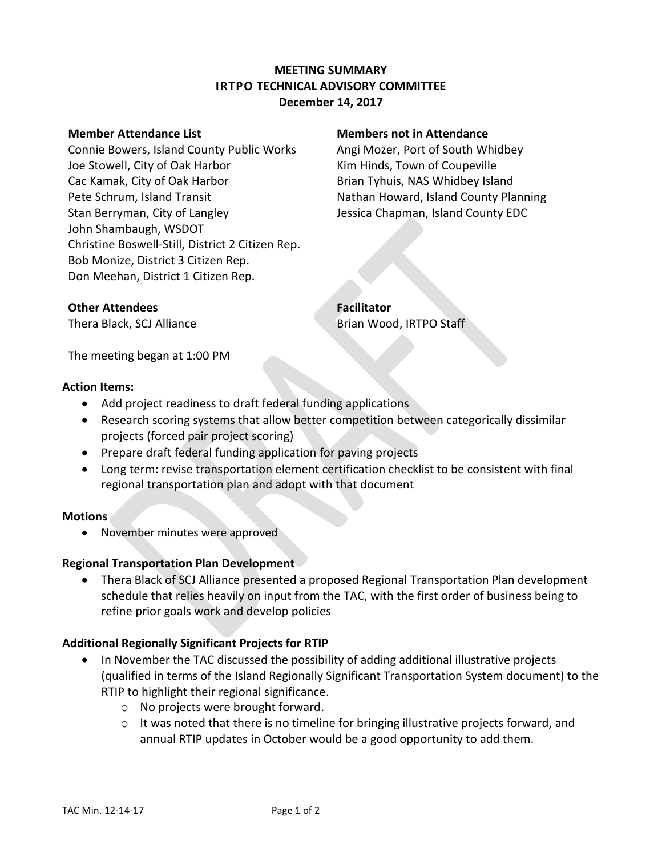# **MEETING SUMMARY IRTPO TECHNICAL ADVISORY COMMITTEE December 14, 2017**

Connie Bowers, Island County Public Works Angi Mozer, Port of South Whidbey Joe Stowell, City of Oak Harbor **Kim Hinds, Town of Coupeville** Cac Kamak, City of Oak Harbor **Brian Tyhuis, NAS Whidbey Island** Pete Schrum, Island Transit Nathan Howard, Island County Planning Stan Berryman, City of Langley **Jessica Chapman, Island County EDC** John Shambaugh, WSDOT Christine Boswell-Still, District 2 Citizen Rep. Bob Monize, District 3 Citizen Rep. Don Meehan, District 1 Citizen Rep.

### **Member Attendance List Members not in Attendance**

**Other Attendees Facilitator** 

Thera Black, SCJ Alliance **Brian Wood, IRTPO Staff** 

The meeting began at 1:00 PM

### **Action Items:**

- Add project readiness to draft federal funding applications
- Research scoring systems that allow better competition between categorically dissimilar projects (forced pair project scoring)
- Prepare draft federal funding application for paving projects
- Long term: revise transportation element certification checklist to be consistent with final regional transportation plan and adopt with that document

### **Motions**

• November minutes were approved

### **Regional Transportation Plan Development**

 Thera Black of SCJ Alliance presented a proposed Regional Transportation Plan development schedule that relies heavily on input from the TAC, with the first order of business being to refine prior goals work and develop policies

### **Additional Regionally Significant Projects for RTIP**

- In November the TAC discussed the possibility of adding additional illustrative projects (qualified in terms of the Island Regionally Significant Transportation System document) to the RTIP to highlight their regional significance.
	- o No projects were brought forward.
	- $\circ$  It was noted that there is no timeline for bringing illustrative projects forward, and annual RTIP updates in October would be a good opportunity to add them.